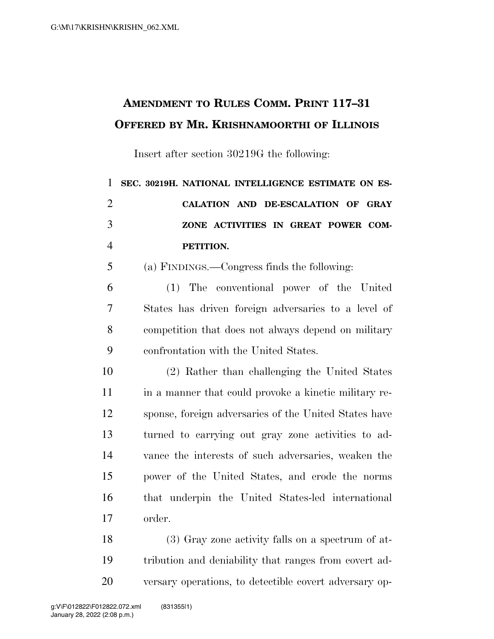## **AMENDMENT TO RULES COMM. PRINT 117–31 OFFERED BY MR. KRISHNAMOORTHI OF ILLINOIS**

Insert after section 30219G the following:

| 1              | SEC. 30219H. NATIONAL INTELLIGENCE ESTIMATE ON ES-  |
|----------------|-----------------------------------------------------|
| 2              | CALATION AND DE-ESCALATION OF GRAY                  |
| 3              | ZONE ACTIVITIES IN GREAT POWER COM-                 |
| $\overline{4}$ | PETITION.                                           |
| 5              | (a) FINDINGS.—Congress finds the following:         |
| 6              | (1) The conventional power of the United            |
| 7              | States has driven foreign adversaries to a level of |
| 8              | competition that does not always depend on military |
| 9              | confrontation with the United States.               |
| 10             | (2) Rather than challenging the United States       |
|                |                                                     |

11 in a manner that could provoke a kinetic military re- sponse, foreign adversaries of the United States have turned to carrying out gray zone activities to ad- vance the interests of such adversaries, weaken the power of the United States, and erode the norms that underpin the United States-led international order.

 (3) Gray zone activity falls on a spectrum of at- tribution and deniability that ranges from covert ad-versary operations, to detectible covert adversary op-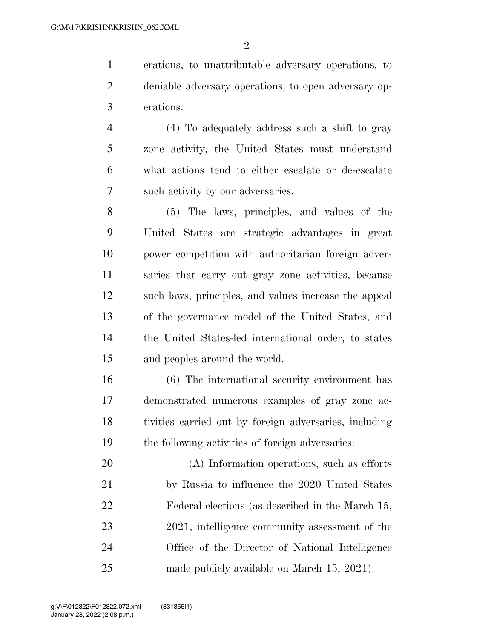erations, to unattributable adversary operations, to deniable adversary operations, to open adversary op-erations.

 (4) To adequately address such a shift to gray zone activity, the United States must understand what actions tend to either escalate or de-escalate such activity by our adversaries.

 (5) The laws, principles, and values of the United States are strategic advantages in great power competition with authoritarian foreign adver- saries that carry out gray zone activities, because such laws, principles, and values increase the appeal of the governance model of the United States, and the United States-led international order, to states and peoples around the world.

 (6) The international security environment has demonstrated numerous examples of gray zone ac- tivities carried out by foreign adversaries, including the following activities of foreign adversaries:

 (A) Information operations, such as efforts by Russia to influence the 2020 United States Federal elections (as described in the March 15, 23 2021, intelligence community assessment of the Office of the Director of National Intelligence made publicly available on March 15, 2021).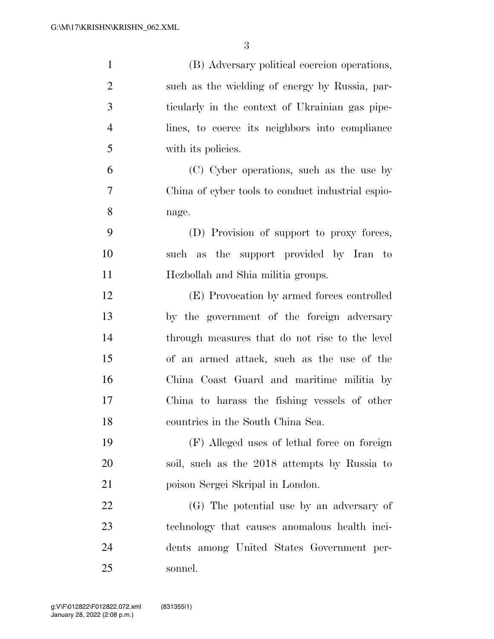| $\mathbf{1}$   | (B) Adversary political coercion operations,      |
|----------------|---------------------------------------------------|
| $\overline{2}$ | such as the wielding of energy by Russia, par-    |
| 3              | ticularly in the context of Ukrainian gas pipe-   |
| $\overline{4}$ | lines, to coerce its neighbors into compliance    |
| 5              | with its policies.                                |
| 6              | (C) Cyber operations, such as the use by          |
| 7              | China of cyber tools to conduct industrial espio- |
| 8              | nage.                                             |
| 9              | (D) Provision of support to proxy forces,         |
| 10             | such as the support provided by Iran to           |
| 11             | Hezbollah and Shia militia groups.                |
| 12             | (E) Provocation by armed forces controlled        |
| 13             | by the government of the foreign adversary        |
| 14             | through measures that do not rise to the level    |
| 15             | of an armed attack, such as the use of the        |
| 16             | China Coast Guard and maritime militia by         |
| 17             | China to harass the fishing vessels of other      |
| 18             | countries in the South China Sea.                 |
| 19             | (F) Alleged uses of lethal force on foreign       |
| 20             | soil, such as the 2018 attempts by Russia to      |
| 21             | poison Sergei Skripal in London.                  |
| <u>22</u>      | (G) The potential use by an adversary of          |
| 23             | technology that causes anomalous health inci-     |
| 24             | dents among United States Government per-         |
| 25             | sonnel.                                           |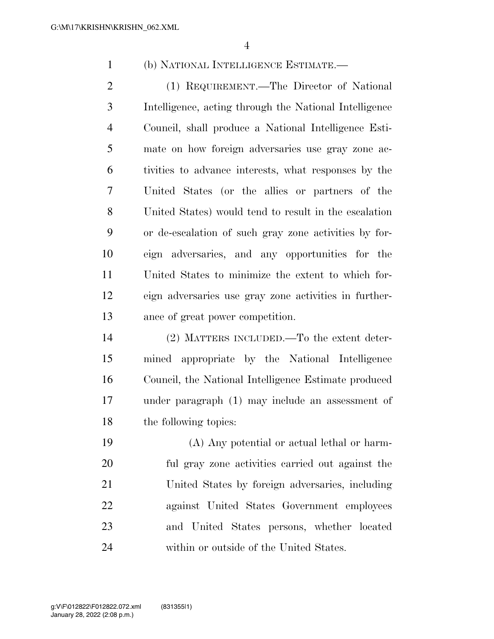(b) NATIONAL INTELLIGENCE ESTIMATE.—

 (1) REQUIREMENT.—The Director of National Intelligence, acting through the National Intelligence Council, shall produce a National Intelligence Esti- mate on how foreign adversaries use gray zone ac- tivities to advance interests, what responses by the United States (or the allies or partners of the United States) would tend to result in the escalation or de-escalation of such gray zone activities by for- eign adversaries, and any opportunities for the United States to minimize the extent to which for- eign adversaries use gray zone activities in further-ance of great power competition.

 (2) MATTERS INCLUDED.—To the extent deter- mined appropriate by the National Intelligence Council, the National Intelligence Estimate produced under paragraph (1) may include an assessment of the following topics:

 (A) Any potential or actual lethal or harm- ful gray zone activities carried out against the United States by foreign adversaries, including against United States Government employees and United States persons, whether located within or outside of the United States.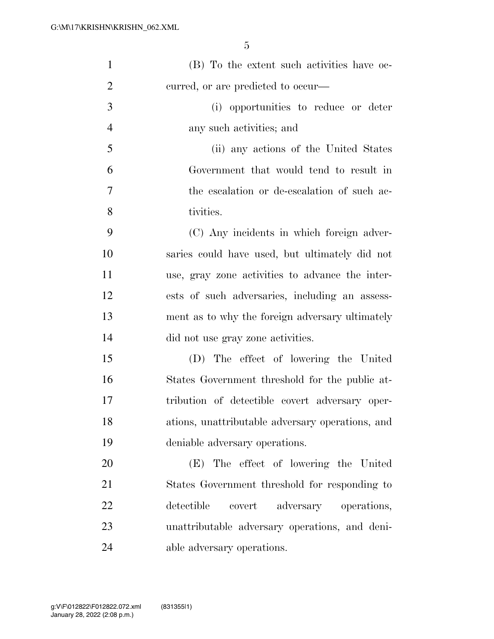| $\mathbf{1}$   | (B) To the extent such activities have oc-       |
|----------------|--------------------------------------------------|
| $\overline{2}$ | curred, or are predicted to occur—               |
| 3              | (i) opportunities to reduce or deter             |
| $\overline{4}$ | any such activities; and                         |
| 5              | (ii) any actions of the United States            |
| 6              | Government that would tend to result in          |
| $\overline{7}$ | the escalation or de-escalation of such ac-      |
| 8              | tivities.                                        |
| 9              | (C) Any incidents in which foreign adver-        |
| 10             | saries could have used, but ultimately did not   |
| 11             | use, gray zone activities to advance the inter-  |
| 12             | ests of such adversaries, including an assess-   |
| 13             | ment as to why the foreign adversary ultimately  |
| 14             | did not use gray zone activities.                |
| 15             | (D) The effect of lowering the United            |
| 16             | States Government threshold for the public at-   |
| 17             | tribution of detectible covert adversary oper-   |
| 18             | ations, unattributable adversary operations, and |
| 19             | deniable adversary operations.                   |
| 20             | (E) The effect of lowering the United            |
| 21             | States Government threshold for responding to    |
| 22             | detectible<br>adversary<br>covert<br>operations, |
| 23             | unattributable adversary operations, and deni-   |
| 24             | able adversary operations.                       |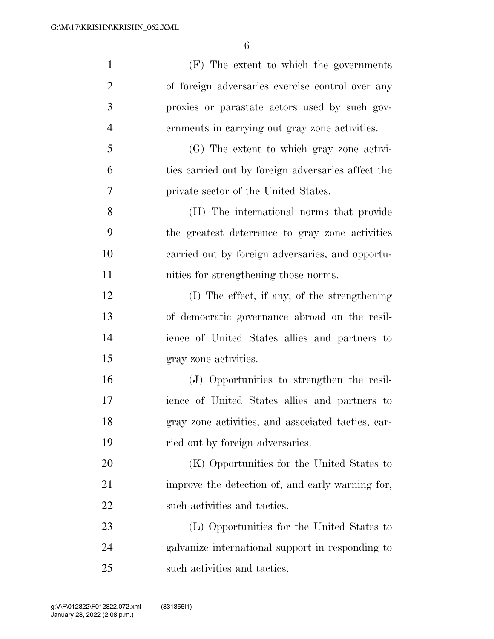| $\mathbf{1}$   | (F) The extent to which the governments            |
|----------------|----------------------------------------------------|
| $\overline{2}$ | of foreign adversaries exercise control over any   |
| 3              | proxies or parastate actors used by such gov-      |
| $\overline{4}$ | ernments in carrying out gray zone activities.     |
| 5              | (G) The extent to which gray zone activi-          |
| 6              | ties carried out by foreign adversaries affect the |
| 7              | private sector of the United States.               |
| 8              | (H) The international norms that provide           |
| 9              | the greatest deterrence to gray zone activities    |
| 10             | carried out by foreign adversaries, and opportu-   |
| 11             | nities for strengthening those norms.              |
| 12             | (I) The effect, if any, of the strengthening       |
| 13             | of democratic governance abroad on the resil-      |
| 14             | ience of United States allies and partners to      |
| 15             | gray zone activities.                              |
| 16             | (J) Opportunities to strengthen the resil-         |
| 17             | ience of United States allies and partners to      |
| 18             | gray zone activities, and associated tactics, car- |
| 19             | ried out by foreign adversaries.                   |
| 20             | (K) Opportunities for the United States to         |
| 21             | improve the detection of, and early warning for,   |
| 22             | such activities and tactics.                       |
| 23             | (L) Opportunities for the United States to         |
| 24             | galvanize international support in responding to   |
| 25             | such activities and tactics.                       |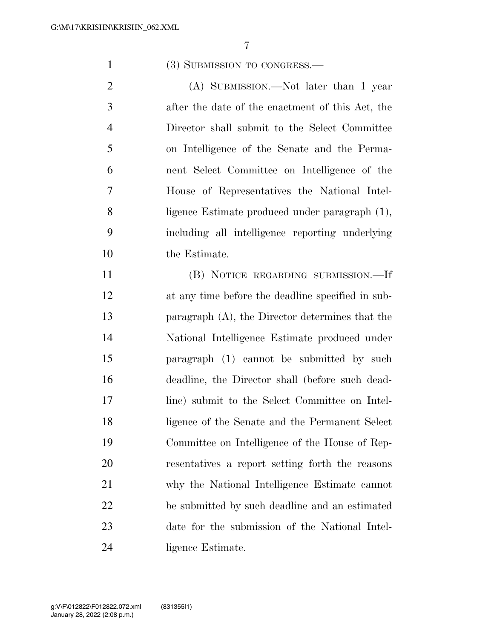## 1 (3) SUBMISSION TO CONGRESS.—

2 (A) SUBMISSION.—Not later than 1 year after the date of the enactment of this Act, the Director shall submit to the Select Committee on Intelligence of the Senate and the Perma- nent Select Committee on Intelligence of the House of Representatives the National Intel- ligence Estimate produced under paragraph (1), including all intelligence reporting underlying the Estimate.

 (B) NOTICE REGARDING SUBMISSION.—If at any time before the deadline specified in sub- paragraph (A), the Director determines that the National Intelligence Estimate produced under paragraph (1) cannot be submitted by such deadline, the Director shall (before such dead- line) submit to the Select Committee on Intel- ligence of the Senate and the Permanent Select Committee on Intelligence of the House of Rep- resentatives a report setting forth the reasons why the National Intelligence Estimate cannot be submitted by such deadline and an estimated date for the submission of the National Intel-ligence Estimate.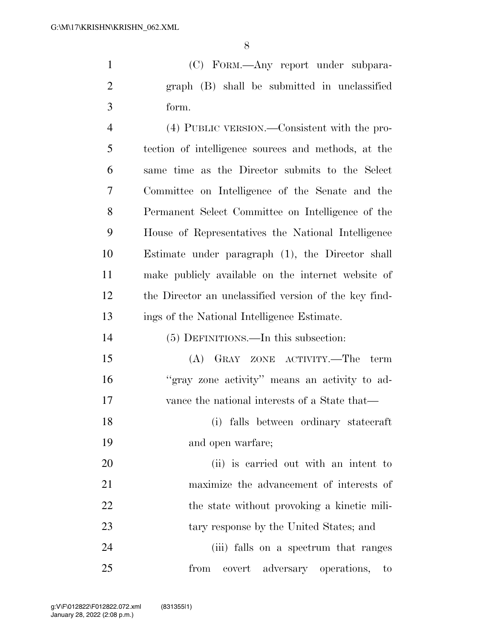(C) FORM.—Any report under subpara- graph (B) shall be submitted in unclassified form.

 (4) PUBLIC VERSION.—Consistent with the pro- tection of intelligence sources and methods, at the same time as the Director submits to the Select Committee on Intelligence of the Senate and the Permanent Select Committee on Intelligence of the House of Representatives the National Intelligence Estimate under paragraph (1), the Director shall make publicly available on the internet website of the Director an unclassified version of the key find-ings of the National Intelligence Estimate.

| 14 | (5) DEFINITIONS.—In this subsection:          |
|----|-----------------------------------------------|
| 15 | (A) GRAY ZONE ACTIVITY.—The term              |
| 16 | "gray zone activity" means an activity to ad- |
| 17 | vance the national interests of a State that— |

 (i) falls between ordinary statecraft and open warfare;

 (ii) is carried out with an intent to maximize the advancement of interests of 22 the state without provoking a kinetic mili-23 tary response by the United States; and

 (iii) falls on a spectrum that ranges from covert adversary operations, to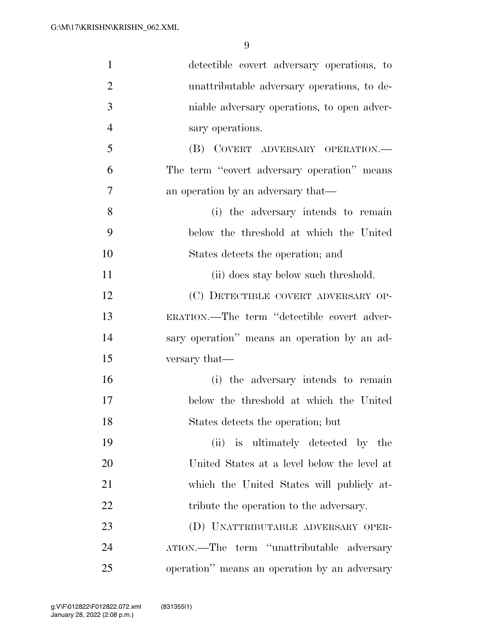| $\mathbf{1}$   | detectible covert adversary operations, to    |
|----------------|-----------------------------------------------|
| $\overline{2}$ | unattributable adversary operations, to de-   |
| 3              | niable adversary operations, to open adver-   |
| $\overline{4}$ | sary operations.                              |
| 5              | (B) COVERT ADVERSARY OPERATION.-              |
| 6              | The term "covert adversary operation" means   |
| 7              | an operation by an adversary that—            |
| 8              | (i) the adversary intends to remain           |
| 9              | below the threshold at which the United       |
| 10             | States detects the operation; and             |
| 11             | (ii) does stay below such threshold.          |
| 12             | (C) DETECTIBLE COVERT ADVERSARY OP-           |
| 13             | ERATION.—The term "detectible covert adver-   |
| 14             | sary operation" means an operation by an ad-  |
| 15             | versary that—                                 |
| 16             | (i) the adversary intends to remain           |
| 17             | below the threshold at which the United       |
| 18             | States detects the operation; but             |
| 19             | (ii) is ultimately detected by the            |
| 20             | United States at a level below the level at   |
| 21             | which the United States will publicly at-     |
| 22             | tribute the operation to the adversary.       |
| 23             | (D) UNATTRIBUTABLE ADVERSARY OPER-            |
| 24             | ATION.—The term "unattributable adversary     |
| 25             | operation" means an operation by an adversary |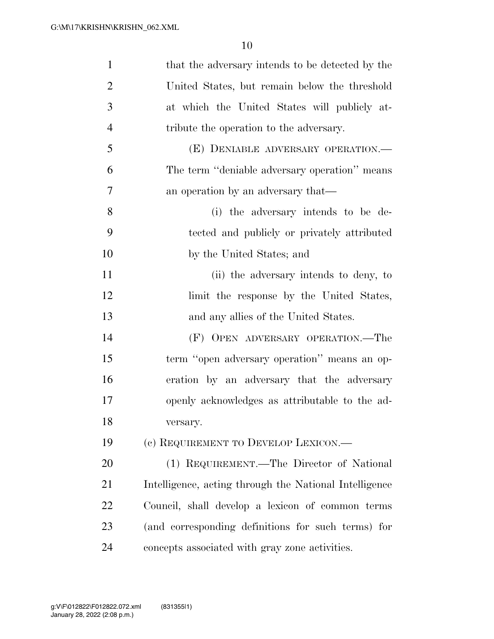| $\mathbf{1}$   | that the adversary intends to be detected by the       |
|----------------|--------------------------------------------------------|
| $\overline{2}$ | United States, but remain below the threshold          |
| 3              | at which the United States will publicly at-           |
| $\overline{4}$ | tribute the operation to the adversary.                |
| 5              | (E) DENIABLE ADVERSARY OPERATION.—                     |
| 6              | The term "deniable adversary operation" means          |
| 7              | an operation by an adversary that—                     |
| 8              | (i) the adversary intends to be de-                    |
| 9              | tected and publicly or privately attributed            |
| 10             | by the United States; and                              |
| 11             | (ii) the adversary intends to deny, to                 |
| 12             | limit the response by the United States,               |
| 13             | and any allies of the United States.                   |
| 14             | (F) OPEN ADVERSARY OPERATION.—The                      |
| 15             | term "open adversary operation" means an op-           |
| 16             | eration by an adversary that the adversary             |
| 17             | openly acknowledges as attributable to the ad-         |
| 18             | versary.                                               |
| 19             | (c) REQUIREMENT TO DEVELOP LEXICON.—                   |
| 20             | (1) REQUIREMENT.—The Director of National              |
| 21             | Intelligence, acting through the National Intelligence |
| 22             | Council, shall develop a lexicon of common terms       |
| 23             | (and corresponding definitions for such terms) for     |
| 24             | concepts associated with gray zone activities.         |